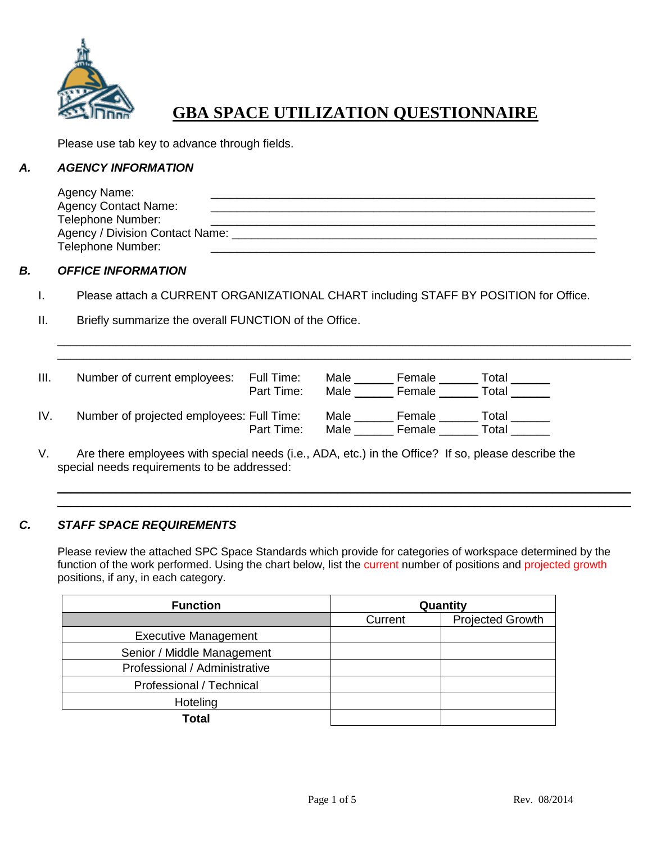

## **GBA SPACE UTILIZATION QUESTIONNAIRE**

Please use tab key to advance through fields.

#### *A. AGENCY INFORMATION*

| Agency Name:                    |  |
|---------------------------------|--|
| <b>Agency Contact Name:</b>     |  |
| Telephone Number:               |  |
| Agency / Division Contact Name: |  |
| Telephone Number:               |  |

#### *B. OFFICE INFORMATION*

- I. Please attach a CURRENT ORGANIZATIONAL CHART including STAFF BY POSITION for Office.
- II. Briefly summarize the overall FUNCTION of the Office.

| III. | Number of current employees:              | Full Time:<br>Part Time: | Male<br>Male | Female<br>Female | Total<br>Total |
|------|-------------------------------------------|--------------------------|--------------|------------------|----------------|
| IV.  | Number of projected employees: Full Time: | Part Time:               | Male<br>Male | Female<br>Female | Total<br>Total |

 $\mathcal{L}_\mathcal{L} = \mathcal{L}_\mathcal{L} = \mathcal{L}_\mathcal{L} = \mathcal{L}_\mathcal{L} = \mathcal{L}_\mathcal{L} = \mathcal{L}_\mathcal{L} = \mathcal{L}_\mathcal{L} = \mathcal{L}_\mathcal{L} = \mathcal{L}_\mathcal{L} = \mathcal{L}_\mathcal{L} = \mathcal{L}_\mathcal{L} = \mathcal{L}_\mathcal{L} = \mathcal{L}_\mathcal{L} = \mathcal{L}_\mathcal{L} = \mathcal{L}_\mathcal{L} = \mathcal{L}_\mathcal{L} = \mathcal{L}_\mathcal{L}$  $\mathcal{L}_\mathcal{L} = \mathcal{L}_\mathcal{L} = \mathcal{L}_\mathcal{L} = \mathcal{L}_\mathcal{L} = \mathcal{L}_\mathcal{L} = \mathcal{L}_\mathcal{L} = \mathcal{L}_\mathcal{L} = \mathcal{L}_\mathcal{L} = \mathcal{L}_\mathcal{L} = \mathcal{L}_\mathcal{L} = \mathcal{L}_\mathcal{L} = \mathcal{L}_\mathcal{L} = \mathcal{L}_\mathcal{L} = \mathcal{L}_\mathcal{L} = \mathcal{L}_\mathcal{L} = \mathcal{L}_\mathcal{L} = \mathcal{L}_\mathcal{L}$ 

V. Are there employees with special needs (i.e., ADA, etc.) in the Office? If so, please describe the special needs requirements to be addressed:

#### *C. STAFF SPACE REQUIREMENTS*

Please review the attached SPC Space Standards which provide for categories of workspace determined by the function of the work performed. Using the chart below, list the current number of positions and projected growth positions, if any, in each category.

\_\_\_\_\_\_\_\_\_\_\_\_\_\_\_\_\_\_\_\_\_\_\_\_\_\_\_\_\_\_\_\_\_\_\_\_\_\_\_\_\_\_\_\_\_\_\_\_\_\_\_\_\_\_\_\_\_\_\_\_\_\_\_\_\_\_\_\_\_\_\_\_\_\_\_\_\_\_\_\_\_\_\_\_\_\_\_\_ \_\_\_\_\_\_\_\_\_\_\_\_\_\_\_\_\_\_\_\_\_\_\_\_\_\_\_\_\_\_\_\_\_\_\_\_\_\_\_\_\_\_\_\_\_\_\_\_\_\_\_\_\_\_\_\_\_\_\_\_\_\_\_\_\_\_\_\_\_\_\_\_\_\_\_\_\_\_\_\_\_\_\_\_\_\_\_\_

| <b>Function</b>               | Quantity |                         |  |
|-------------------------------|----------|-------------------------|--|
|                               | Current  | <b>Projected Growth</b> |  |
| <b>Executive Management</b>   |          |                         |  |
| Senior / Middle Management    |          |                         |  |
| Professional / Administrative |          |                         |  |
| Professional / Technical      |          |                         |  |
| Hoteling                      |          |                         |  |
| <b>Total</b>                  |          |                         |  |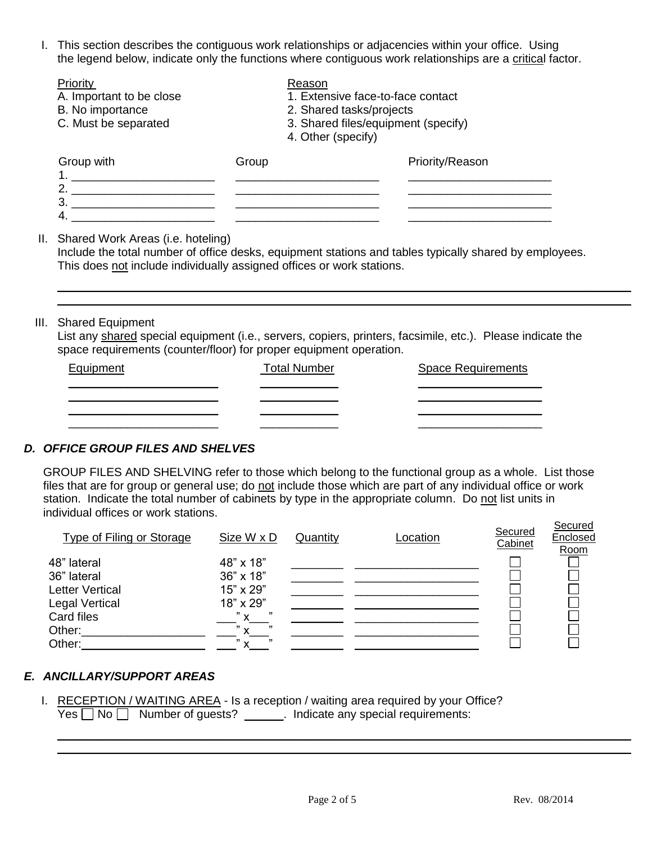I. This section describes the contiguous work relationships or adjacencies within your office. Using the legend below, indicate only the functions where contiguous work relationships are a critical factor.

| Priority                 |       | Reason                              |
|--------------------------|-------|-------------------------------------|
| A. Important to be close |       | 1. Extensive face-to-face contact   |
| B. No importance         |       | 2. Shared tasks/projects            |
| C. Must be separated     |       | 3. Shared files/equipment (specify) |
|                          |       | 4. Other (specify)                  |
| Group with               | Group | Priority/Reason                     |

1. \_\_\_\_\_\_\_\_\_\_\_\_\_\_\_\_\_\_\_\_\_\_ \_\_\_\_\_\_\_\_\_\_\_\_\_\_\_\_\_\_\_\_\_\_ \_\_\_\_\_\_\_\_\_\_\_\_\_\_\_\_\_\_\_\_\_\_ 2. \_\_\_\_\_\_\_\_\_\_\_\_\_\_\_\_\_\_\_\_\_\_ \_\_\_\_\_\_\_\_\_\_\_\_\_\_\_\_\_\_\_\_\_\_ \_\_\_\_\_\_\_\_\_\_\_\_\_\_\_\_\_\_\_\_\_\_

II. Shared Work Areas (i.e. hoteling)

Include the total number of office desks, equipment stations and tables typically shared by employees. This does not include individually assigned offices or work stations.

\_\_\_\_\_\_\_\_\_\_\_\_\_\_\_\_\_\_\_\_\_\_\_\_\_\_\_\_\_\_\_\_\_\_\_\_\_\_\_\_\_\_\_\_\_\_\_\_\_\_\_\_\_\_\_\_\_\_\_\_\_\_\_\_\_\_\_\_\_\_\_\_\_\_\_\_\_\_\_\_\_\_\_\_\_\_\_\_ \_\_\_\_\_\_\_\_\_\_\_\_\_\_\_\_\_\_\_\_\_\_\_\_\_\_\_\_\_\_\_\_\_\_\_\_\_\_\_\_\_\_\_\_\_\_\_\_\_\_\_\_\_\_\_\_\_\_\_\_\_\_\_\_\_\_\_\_\_\_\_\_\_\_\_\_\_\_\_\_\_\_\_\_\_\_\_\_

#### III. Shared Equipment

List any shared special equipment (i.e., servers, copiers, printers, facsimile, etc.). Please indicate the space requirements (counter/floor) for proper equipment operation.

| Equipment | <b>Total Number</b> | <b>Space Requirements</b> |
|-----------|---------------------|---------------------------|
|           |                     |                           |
|           |                     |                           |
|           |                     |                           |

#### *D. OFFICE GROUP FILES AND SHELVES*

GROUP FILES AND SHELVING refer to those which belong to the functional group as a whole. List those files that are for group or general use; do not include those which are part of any individual office or work station. Indicate the total number of cabinets by type in the appropriate column. Do not list units in individual offices or work stations. Secured

| Type of Filing or Storage | Size W x D                        | Quantity | Location | Secured<br>Cabinet | <b>OCCULCU</b><br>Enclosed<br>Room |
|---------------------------|-----------------------------------|----------|----------|--------------------|------------------------------------|
| 48" lateral               | 48" x 18"                         |          |          |                    |                                    |
| 36" lateral               | 36" x 18"                         |          |          |                    |                                    |
| <b>Letter Vertical</b>    | 15" x 29"                         |          |          |                    |                                    |
| <b>Legal Vertical</b>     | 18" x 29"                         |          |          |                    |                                    |
| Card files                | ,,,<br>" $\mathsf{X}$             |          |          |                    |                                    |
| Other:                    | ,,<br>$"$ v                       |          |          |                    |                                    |
| Other:                    | $^{\prime\prime}$<br>$\checkmark$ |          |          |                    |                                    |

#### *E. ANCILLARY/SUPPORT AREAS*

I. RECEPTION / WAITING AREA - Is a reception / waiting area required by your Office?  $Yes \Box No \Box$  Number of guests?  $\Box$  Indicate any special requirements:

\_\_\_\_\_\_\_\_\_\_\_\_\_\_\_\_\_\_\_\_\_\_\_\_\_\_\_\_\_\_\_\_\_\_\_\_\_\_\_\_\_\_\_\_\_\_\_\_\_\_\_\_\_\_\_\_\_\_\_\_\_\_\_\_\_\_\_\_\_\_\_\_\_\_\_\_\_\_\_\_\_\_\_\_\_\_\_\_ \_\_\_\_\_\_\_\_\_\_\_\_\_\_\_\_\_\_\_\_\_\_\_\_\_\_\_\_\_\_\_\_\_\_\_\_\_\_\_\_\_\_\_\_\_\_\_\_\_\_\_\_\_\_\_\_\_\_\_\_\_\_\_\_\_\_\_\_\_\_\_\_\_\_\_\_\_\_\_\_\_\_\_\_\_\_\_\_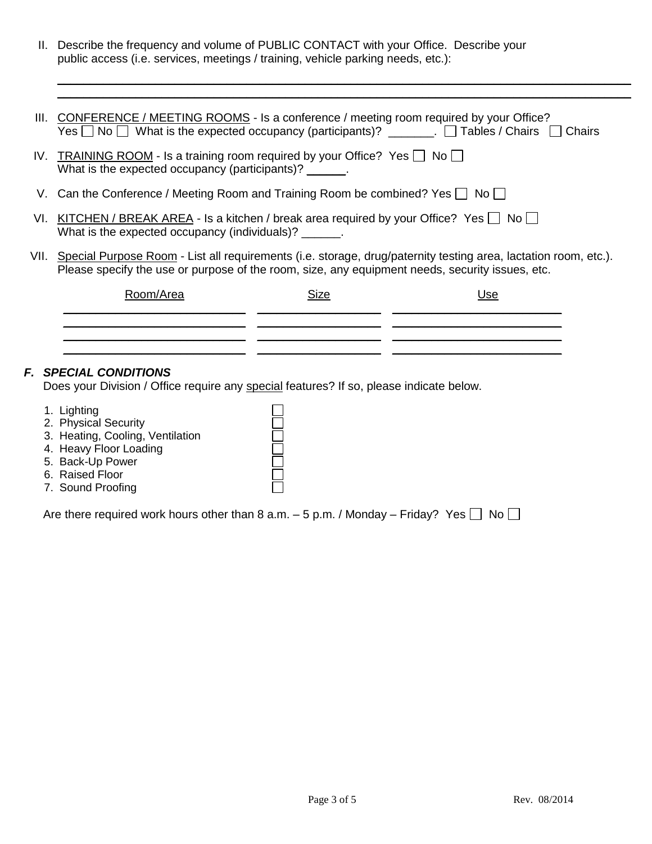II. Describe the frequency and volume of PUBLIC CONTACT with your Office. Describe your public access (i.e. services, meetings / training, vehicle parking needs, etc.):

| III. CONFERENCE / MEETING ROOMS - Is a conference / meeting room required by your Office?<br>Yes $\Box$ No $\Box$ What is the expected occupancy (participants)? _______. $\Box$ Tables / Chairs $\Box$<br>Chairs       |      |     |  |  |
|-------------------------------------------------------------------------------------------------------------------------------------------------------------------------------------------------------------------------|------|-----|--|--|
| IV. TRAINING ROOM - Is a training room required by your Office? Yes $\Box$ No $\Box$<br>What is the expected occupancy (participants)?                                                                                  |      |     |  |  |
| V. Can the Conference / Meeting Room and Training Room be combined? Yes $\Box$ No $\Box$                                                                                                                                |      |     |  |  |
| VI. KITCHEN / BREAK AREA - Is a kitchen / break area required by your Office? Yes $\Box$ No $\Box$<br>What is the expected occupancy (individuals)? ______.                                                             |      |     |  |  |
| VII. Special Purpose Room - List all requirements (i.e. storage, drug/paternity testing area, lactation room, etc.).<br>Please specify the use or purpose of the room, size, any equipment needs, security issues, etc. |      |     |  |  |
| Room/Area                                                                                                                                                                                                               | Size | Use |  |  |
|                                                                                                                                                                                                                         |      |     |  |  |
|                                                                                                                                                                                                                         |      |     |  |  |
|                                                                                                                                                                                                                         |      |     |  |  |

\_\_\_\_\_\_\_\_\_\_\_\_\_\_\_\_\_\_\_\_\_\_\_\_\_\_\_\_\_\_\_\_\_\_\_\_\_\_\_\_\_\_\_\_\_\_\_\_\_\_\_\_\_\_\_\_\_\_\_\_\_\_\_\_\_\_\_\_\_\_\_\_\_\_\_\_\_\_\_\_\_\_\_\_\_\_\_\_ \_\_\_\_\_\_\_\_\_\_\_\_\_\_\_\_\_\_\_\_\_\_\_\_\_\_\_\_\_\_\_\_\_\_\_\_\_\_\_\_\_\_\_\_\_\_\_\_\_\_\_\_\_\_\_\_\_\_\_\_\_\_\_\_\_\_\_\_\_\_\_\_\_\_\_\_\_\_\_\_\_\_\_\_\_\_\_\_

#### *F. SPECIAL CONDITIONS*

Does your Division / Office require any special features? If so, please indicate below.

- 1. Lighting
- 2. Physical Security
- 3. Heating, Cooling, Ventilation
- 4. Heavy Floor Loading
- 5. Back-Up Power
- 6. Raised Floor
- 7. Sound Proofing

Are there required work hours other than 8 a.m.  $-5$  p.m. / Monday – Friday? Yes  $\Box$  No  $\Box$ 

 $\Box$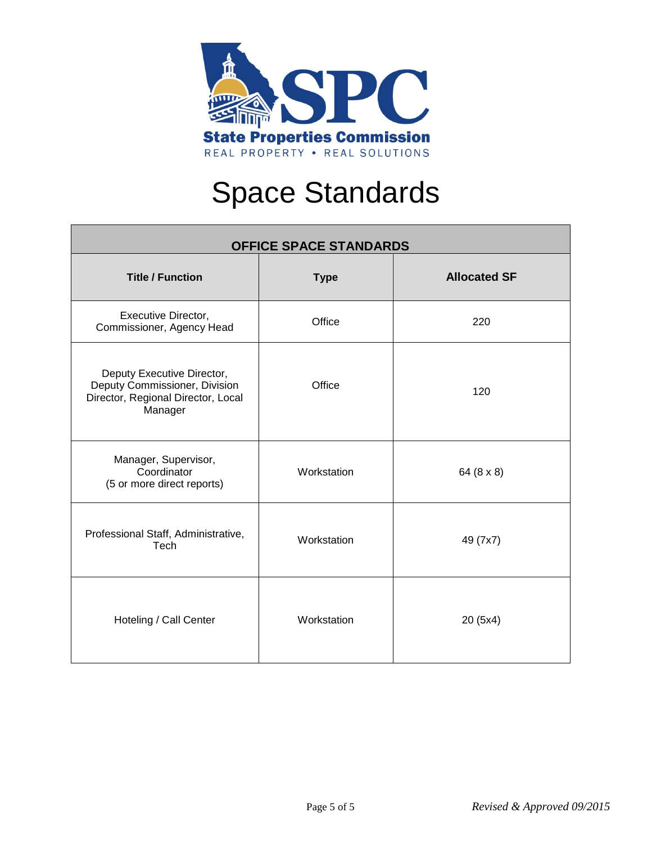

# Space Standards

| <b>OFFICE SPACE STANDARDS</b>                                                                                |             |                     |  |  |
|--------------------------------------------------------------------------------------------------------------|-------------|---------------------|--|--|
| <b>Title / Function</b>                                                                                      | <b>Type</b> | <b>Allocated SF</b> |  |  |
| Executive Director,<br>Commissioner, Agency Head                                                             | Office      | 220                 |  |  |
| Deputy Executive Director,<br>Deputy Commissioner, Division<br>Director, Regional Director, Local<br>Manager | Office      | 120                 |  |  |
| Manager, Supervisor,<br>Coordinator<br>(5 or more direct reports)                                            | Workstation | 64 (8 x 8)          |  |  |
| Professional Staff, Administrative,<br>Tech                                                                  | Workstation | 49 (7x7)            |  |  |
| Hoteling / Call Center                                                                                       | Workstation | 20 (5x4)            |  |  |